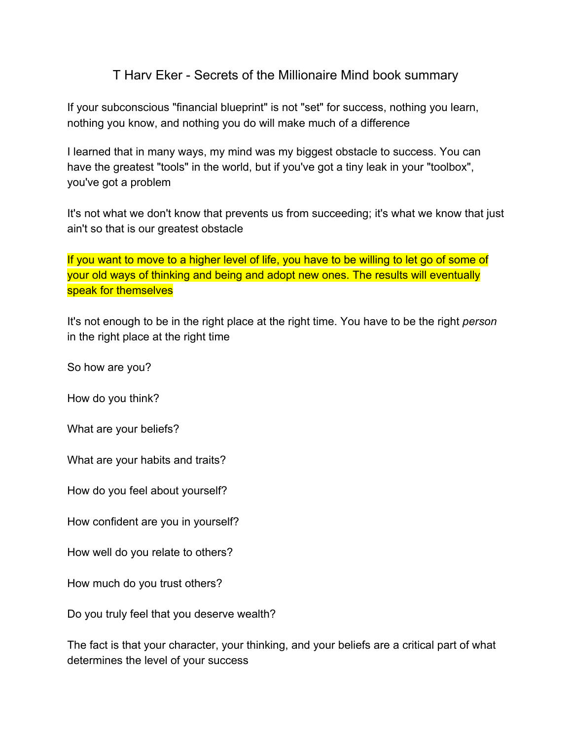# T Harv Eker - Secrets of the Millionaire Mind book summary

If your subconscious "financial blueprint" is not "set" for success, nothing you learn, nothing you know, and nothing you do will make much of a difference

I learned that in many ways, my mind was my biggest obstacle to success. You can have the greatest "tools" in the world, but if you've got a tiny leak in your "toolbox", you've got a problem

It's not what we don't know that prevents us from succeeding; it's what we know that just ain't so that is our greatest obstacle

If you want to move to a higher level of life, you have to be willing to let go of some of your old ways of thinking and being and adopt new ones. The results will eventually speak for themselves

It's not enough to be in the right place at the right time. You have to be the right *person* in the right place at the right time

So how are you?

How do you think?

What are your beliefs?

What are your habits and traits?

How do you feel about yourself?

How confident are you in yourself?

How well do you relate to others?

How much do you trust others?

Do you truly feel that you deserve wealth?

The fact is that your character, your thinking, and your beliefs are a critical part of what determines the level of your success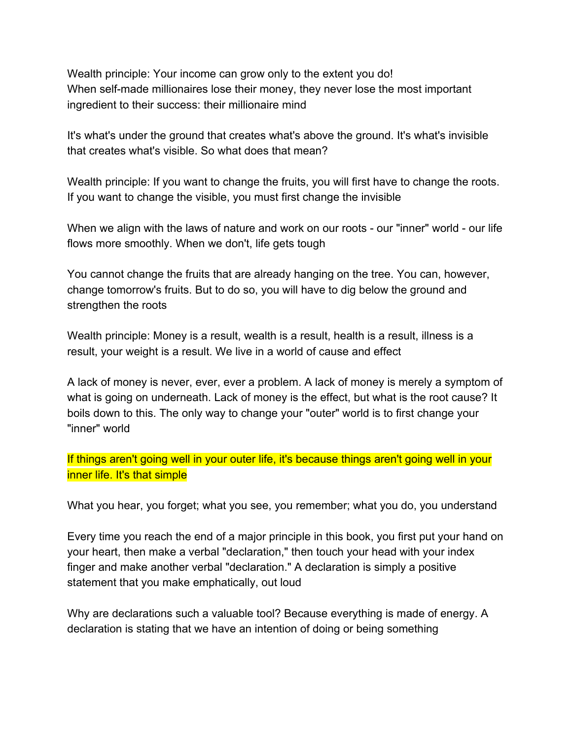Wealth principle: Your income can grow only to the extent you do! When self-made millionaires lose their money, they never lose the most important ingredient to their success: their millionaire mind

It's what's under the ground that creates what's above the ground. It's what's invisible that creates what's visible. So what does that mean?

Wealth principle: If you want to change the fruits, you will first have to change the roots. If you want to change the visible, you must first change the invisible

When we align with the laws of nature and work on our roots - our "inner" world - our life flows more smoothly. When we don't, life gets tough

You cannot change the fruits that are already hanging on the tree. You can, however, change tomorrow's fruits. But to do so, you will have to dig below the ground and strengthen the roots

Wealth principle: Money is a result, wealth is a result, health is a result, illness is a result, your weight is a result. We live in a world of cause and effect

A lack of money is never, ever, ever a problem. A lack of money is merely a symptom of what is going on underneath. Lack of money is the effect, but what is the root cause? It boils down to this. The only way to change your "outer" world is to first change your "inner" world

If things aren't going well in your outer life, it's because things aren't going well in your inner life. It's that simple

What you hear, you forget; what you see, you remember; what you do, you understand

Every time you reach the end of a major principle in this book, you first put your hand on your heart, then make a verbal "declaration," then touch your head with your index finger and make another verbal "declaration." A declaration is simply a positive statement that you make emphatically, out loud

Why are declarations such a valuable tool? Because everything is made of energy. A declaration is stating that we have an intention of doing or being something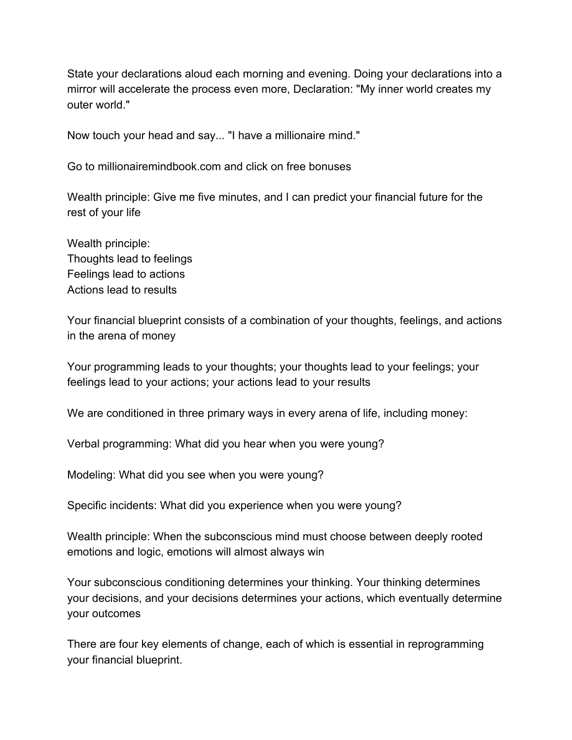State your declarations aloud each morning and evening. Doing your declarations into a mirror will accelerate the process even more, Declaration: "My inner world creates my outer world."

Now touch your head and say... "I have a millionaire mind."

Go to millionairemindbook.com and click on free bonuses

Wealth principle: Give me five minutes, and I can predict your financial future for the rest of your life

Wealth principle: Thoughts lead to feelings Feelings lead to actions Actions lead to results

Your financial blueprint consists of a combination of your thoughts, feelings, and actions in the arena of money

Your programming leads to your thoughts; your thoughts lead to your feelings; your feelings lead to your actions; your actions lead to your results

We are conditioned in three primary ways in every arena of life, including money:

Verbal programming: What did you hear when you were young?

Modeling: What did you see when you were young?

Specific incidents: What did you experience when you were young?

Wealth principle: When the subconscious mind must choose between deeply rooted emotions and logic, emotions will almost always win

Your subconscious conditioning determines your thinking. Your thinking determines your decisions, and your decisions determines your actions, which eventually determine your outcomes

There are four key elements of change, each of which is essential in reprogramming your financial blueprint.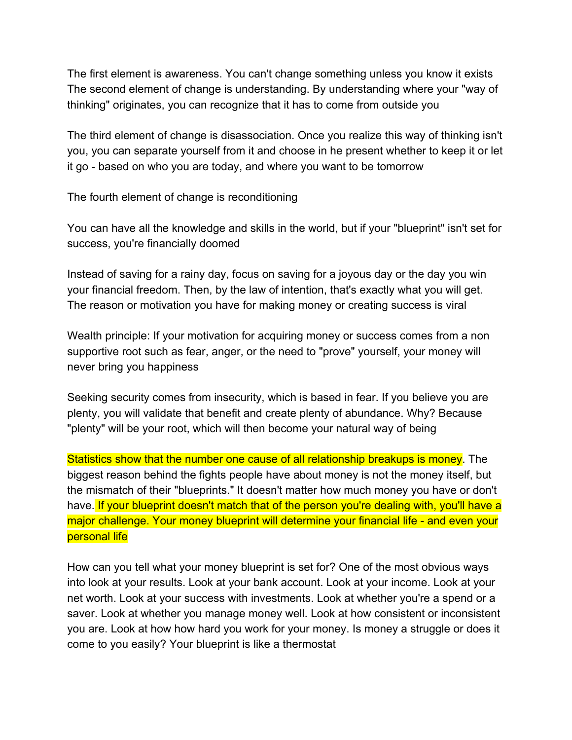The first element is awareness. You can't change something unless you know it exists The second element of change is understanding. By understanding where your "way of thinking" originates, you can recognize that it has to come from outside you

The third element of change is disassociation. Once you realize this way of thinking isn't you, you can separate yourself from it and choose in he present whether to keep it or let it go - based on who you are today, and where you want to be tomorrow

The fourth element of change is reconditioning

You can have all the knowledge and skills in the world, but if your "blueprint" isn't set for success, you're financially doomed

Instead of saving for a rainy day, focus on saving for a joyous day or the day you win your financial freedom. Then, by the law of intention, that's exactly what you will get. The reason or motivation you have for making money or creating success is viral

Wealth principle: If your motivation for acquiring money or success comes from a non supportive root such as fear, anger, or the need to "prove" yourself, your money will never bring you happiness

Seeking security comes from insecurity, which is based in fear. If you believe you are plenty, you will validate that benefit and create plenty of abundance. Why? Because "plenty" will be your root, which will then become your natural way of being

Statistics show that the number one cause of all relationship breakups is money. The biggest reason behind the fights people have about money is not the money itself, but the mismatch of their "blueprints." It doesn't matter how much money you have or don't have. If your blueprint doesn't match that of the person you're dealing with, you'll have a major challenge. Your money blueprint will determine your financial life - and even your personal life

How can you tell what your money blueprint is set for? One of the most obvious ways into look at your results. Look at your bank account. Look at your income. Look at your net worth. Look at your success with investments. Look at whether you're a spend or a saver. Look at whether you manage money well. Look at how consistent or inconsistent you are. Look at how how hard you work for your money. Is money a struggle or does it come to you easily? Your blueprint is like a thermostat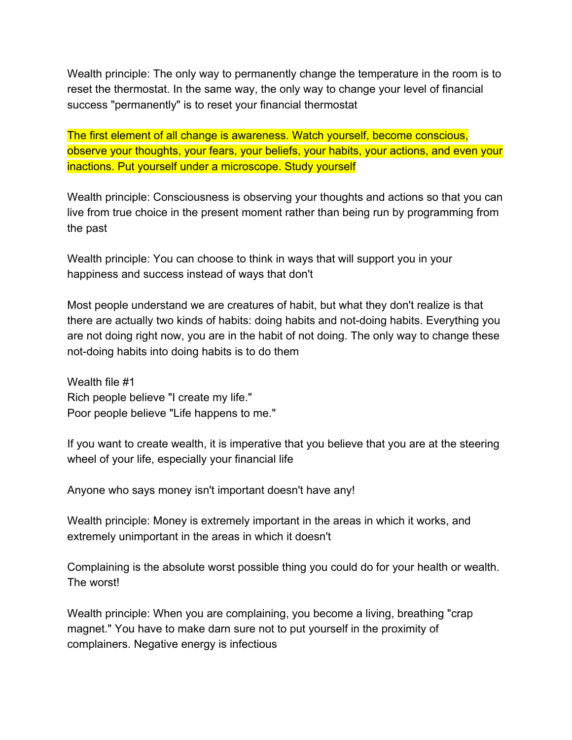Wealth principle: The only way to permanently change the temperature in the room is to reset the thermostat. In the same way, the only way to change your level of financial success "permanently" is to reset your financial thermostat

The first element of all change is awareness. Watch yourself, become conscious, observe your thoughts, your fears, your beliefs, your habits, your actions, and even your inactions. Put yourself under a microscope. Study yourself

Wealth principle: Consciousness is observing your thoughts and actions so that you can live from true choice in the present moment rather than being run by programming from the past

Wealth principle: You can choose to think in ways that will support you in your happiness and success instead of ways that don't

Most people understand we are creatures of habit, but what they don't realize is that there are actually two kinds of habits: doing habits and not-doing habits. Everything you are not doing right now, you are in the habit of not doing. The only way to change these not-doing habits into doing habits is to do them

Wealth file #1 Rich people believe "I create my life." Poor people believe "Life happens to me."

If you want to create wealth, it is imperative that you believe that you are at the steering wheel of your life, especially your financial life

Anyone who says money isn't important doesn't have any!

Wealth principle: Money is extremely important in the areas in which it works, and extremely unimportant in the areas in which it doesn't

Complaining is the absolute worst possible thing you could do for your health or wealth. The worst!

Wealth principle: When you are complaining, you become a living, breathing "crap magnet." You have to make darn sure not to put yourself in the proximity of complainers. Negative energy is infectious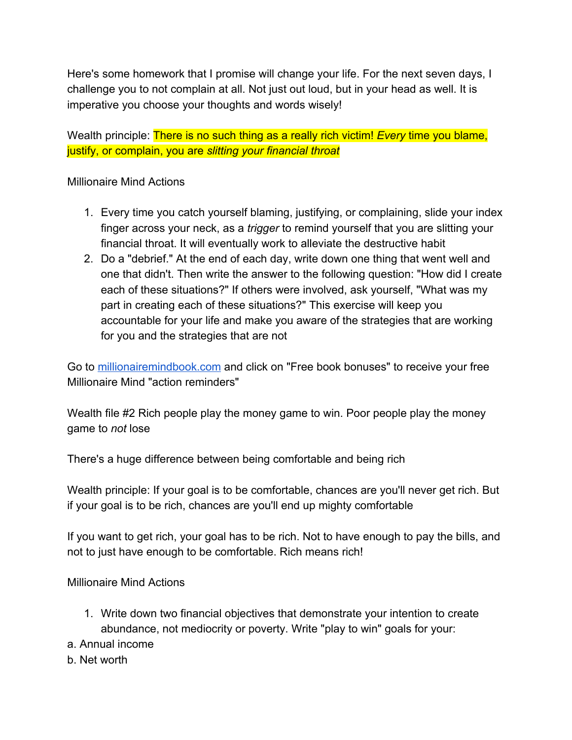Here's some homework that I promise will change your life. For the next seven days, I challenge you to not complain at all. Not just out loud, but in your head as well. It is imperative you choose your thoughts and words wisely!

Wealth principle: There is no such thing as a really rich victim! *Every* time you blame, justify, or complain, you are *slitting your financial throat*

### Millionaire Mind Actions

- 1. Every time you catch yourself blaming, justifying, or complaining, slide your index finger across your neck, as a *trigger* to remind yourself that you are slitting your financial throat. It will eventually work to alleviate the destructive habit
- 2. Do a "debrief." At the end of each day, write down one thing that went well and one that didn't. Then write the answer to the following question: "How did I create each of these situations?" If others were involved, ask yourself, "What was my part in creating each of these situations?" This exercise will keep you accountable for your life and make you aware of the strategies that are working for you and the strategies that are not

Go to [millionairemindbook.com](http://millionairemindbook.com/) and click on "Free book bonuses" to receive your free Millionaire Mind "action reminders"

Wealth file #2 Rich people play the money game to win. Poor people play the money game to *not* lose

There's a huge difference between being comfortable and being rich

Wealth principle: If your goal is to be comfortable, chances are you'll never get rich. But if your goal is to be rich, chances are you'll end up mighty comfortable

If you want to get rich, your goal has to be rich. Not to have enough to pay the bills, and not to just have enough to be comfortable. Rich means rich!

# Millionaire Mind Actions

- 1. Write down two financial objectives that demonstrate your intention to create abundance, not mediocrity or poverty. Write "play to win" goals for your:
- a. Annual income
- b. Net worth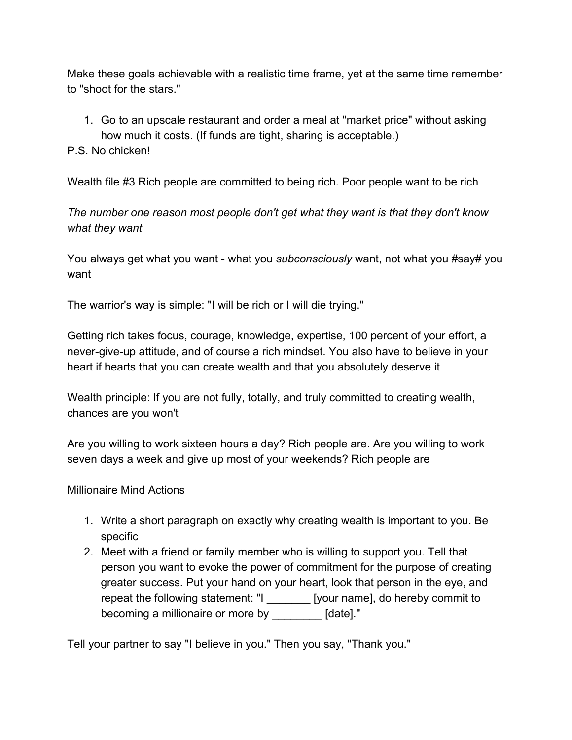Make these goals achievable with a realistic time frame, yet at the same time remember to "shoot for the stars."

1. Go to an upscale restaurant and order a meal at "market price" without asking how much it costs. (If funds are tight, sharing is acceptable.)

### P.S. No chicken!

Wealth file #3 Rich people are committed to being rich. Poor people want to be rich

*The number one reason most people don't get what they want is that they don't know what they want*

You always get what you want - what you *subconsciously* want, not what you #say# you want

The warrior's way is simple: "I will be rich or I will die trying."

Getting rich takes focus, courage, knowledge, expertise, 100 percent of your effort, a never-give-up attitude, and of course a rich mindset. You also have to believe in your heart if hearts that you can create wealth and that you absolutely deserve it

Wealth principle: If you are not fully, totally, and truly committed to creating wealth, chances are you won't

Are you willing to work sixteen hours a day? Rich people are. Are you willing to work seven days a week and give up most of your weekends? Rich people are

#### Millionaire Mind Actions

- 1. Write a short paragraph on exactly why creating wealth is important to you. Be specific
- 2. Meet with a friend or family member who is willing to support you. Tell that person you want to evoke the power of commitment for the purpose of creating greater success. Put your hand on your heart, look that person in the eye, and repeat the following statement: "I \_\_\_\_\_\_\_ [your name], do hereby commit to becoming a millionaire or more by \_\_\_\_\_\_\_\_ [date]."

Tell your partner to say "I believe in you." Then you say, "Thank you."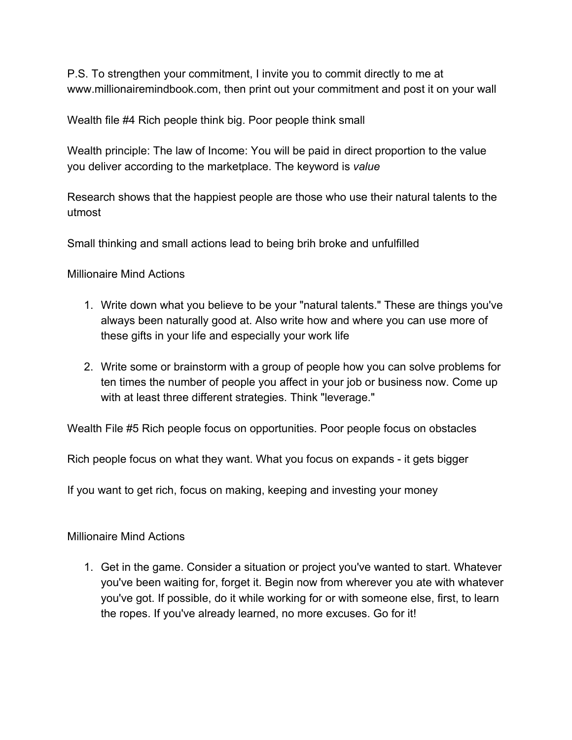P.S. To strengthen your commitment, I invite you to commit directly to me at www.millionairemindbook.com, then print out your commitment and post it on your wall

Wealth file #4 Rich people think big. Poor people think small

Wealth principle: The law of Income: You will be paid in direct proportion to the value you deliver according to the marketplace. The keyword is *value*

Research shows that the happiest people are those who use their natural talents to the utmost

Small thinking and small actions lead to being brih broke and unfulfilled

Millionaire Mind Actions

- 1. Write down what you believe to be your "natural talents." These are things you've always been naturally good at. Also write how and where you can use more of these gifts in your life and especially your work life
- 2. Write some or brainstorm with a group of people how you can solve problems for ten times the number of people you affect in your job or business now. Come up with at least three different strategies. Think "leverage."

Wealth File #5 Rich people focus on opportunities. Poor people focus on obstacles

Rich people focus on what they want. What you focus on expands - it gets bigger

If you want to get rich, focus on making, keeping and investing your money

Millionaire Mind Actions

1. Get in the game. Consider a situation or project you've wanted to start. Whatever you've been waiting for, forget it. Begin now from wherever you ate with whatever you've got. If possible, do it while working for or with someone else, first, to learn the ropes. If you've already learned, no more excuses. Go for it!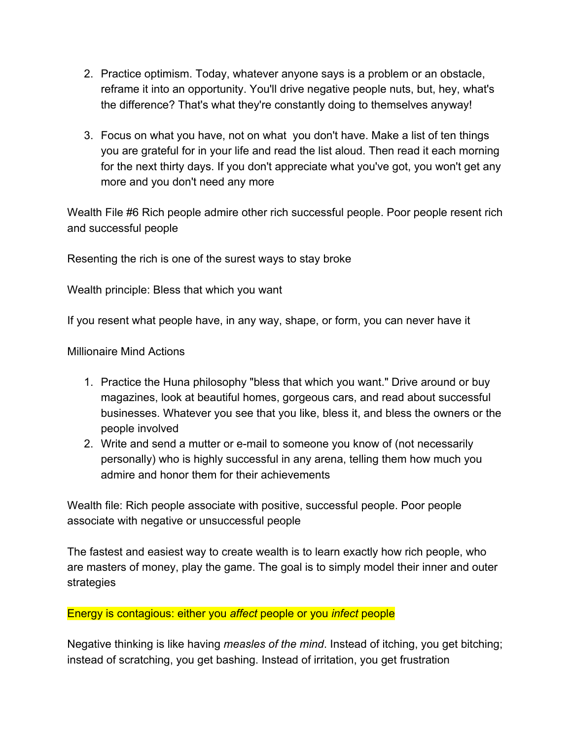- 2. Practice optimism. Today, whatever anyone says is a problem or an obstacle, reframe it into an opportunity. You'll drive negative people nuts, but, hey, what's the difference? That's what they're constantly doing to themselves anyway!
- 3. Focus on what you have, not on what you don't have. Make a list of ten things you are grateful for in your life and read the list aloud. Then read it each morning for the next thirty days. If you don't appreciate what you've got, you won't get any more and you don't need any more

Wealth File #6 Rich people admire other rich successful people. Poor people resent rich and successful people

Resenting the rich is one of the surest ways to stay broke

Wealth principle: Bless that which you want

If you resent what people have, in any way, shape, or form, you can never have it

Millionaire Mind Actions

- 1. Practice the Huna philosophy "bless that which you want." Drive around or buy magazines, look at beautiful homes, gorgeous cars, and read about successful businesses. Whatever you see that you like, bless it, and bless the owners or the people involved
- 2. Write and send a mutter or e-mail to someone you know of (not necessarily personally) who is highly successful in any arena, telling them how much you admire and honor them for their achievements

Wealth file: Rich people associate with positive, successful people. Poor people associate with negative or unsuccessful people

The fastest and easiest way to create wealth is to learn exactly how rich people, who are masters of money, play the game. The goal is to simply model their inner and outer strategies

Energy is contagious: either you *affect* people or you *infect* people

Negative thinking is like having *measles of the mind*. Instead of itching, you get bitching; instead of scratching, you get bashing. Instead of irritation, you get frustration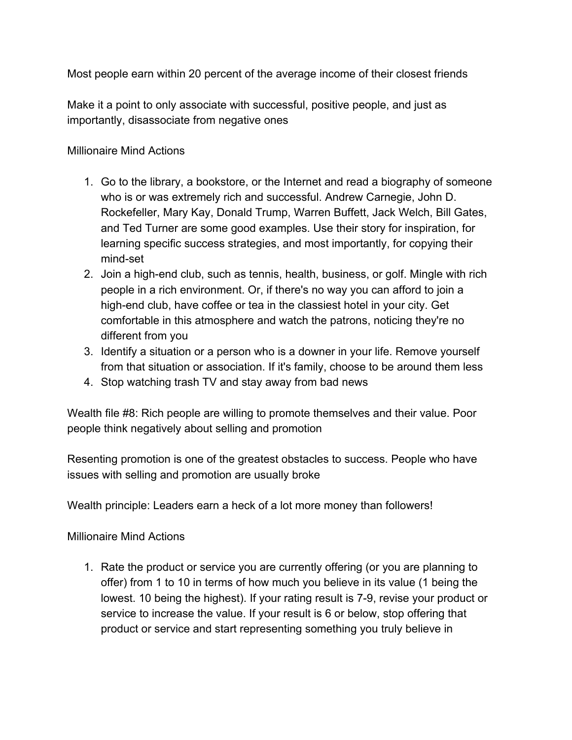Most people earn within 20 percent of the average income of their closest friends

Make it a point to only associate with successful, positive people, and just as importantly, disassociate from negative ones

### Millionaire Mind Actions

- 1. Go to the library, a bookstore, or the Internet and read a biography of someone who is or was extremely rich and successful. Andrew Carnegie, John D. Rockefeller, Mary Kay, Donald Trump, Warren Buffett, Jack Welch, Bill Gates, and Ted Turner are some good examples. Use their story for inspiration, for learning specific success strategies, and most importantly, for copying their mind-set
- 2. Join a high-end club, such as tennis, health, business, or golf. Mingle with rich people in a rich environment. Or, if there's no way you can afford to join a high-end club, have coffee or tea in the classiest hotel in your city. Get comfortable in this atmosphere and watch the patrons, noticing they're no different from you
- 3. Identify a situation or a person who is a downer in your life. Remove yourself from that situation or association. If it's family, choose to be around them less
- 4. Stop watching trash TV and stay away from bad news

Wealth file #8: Rich people are willing to promote themselves and their value. Poor people think negatively about selling and promotion

Resenting promotion is one of the greatest obstacles to success. People who have issues with selling and promotion are usually broke

Wealth principle: Leaders earn a heck of a lot more money than followers!

Millionaire Mind Actions

1. Rate the product or service you are currently offering (or you are planning to offer) from 1 to 10 in terms of how much you believe in its value (1 being the lowest. 10 being the highest). If your rating result is 7-9, revise your product or service to increase the value. If your result is 6 or below, stop offering that product or service and start representing something you truly believe in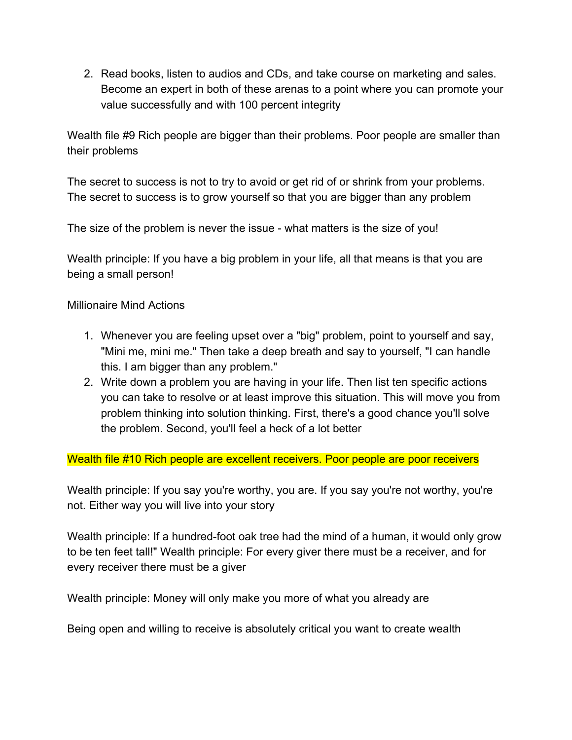2. Read books, listen to audios and CDs, and take course on marketing and sales. Become an expert in both of these arenas to a point where you can promote your value successfully and with 100 percent integrity

Wealth file #9 Rich people are bigger than their problems. Poor people are smaller than their problems

The secret to success is not to try to avoid or get rid of or shrink from your problems. The secret to success is to grow yourself so that you are bigger than any problem

The size of the problem is never the issue - what matters is the size of you!

Wealth principle: If you have a big problem in your life, all that means is that you are being a small person!

Millionaire Mind Actions

- 1. Whenever you are feeling upset over a "big" problem, point to yourself and say, "Mini me, mini me." Then take a deep breath and say to yourself, "I can handle this. I am bigger than any problem."
- 2. Write down a problem you are having in your life. Then list ten specific actions you can take to resolve or at least improve this situation. This will move you from problem thinking into solution thinking. First, there's a good chance you'll solve the problem. Second, you'll feel a heck of a lot better

Wealth file #10 Rich people are excellent receivers. Poor people are poor receivers

Wealth principle: If you say you're worthy, you are. If you say you're not worthy, you're not. Either way you will live into your story

Wealth principle: If a hundred-foot oak tree had the mind of a human, it would only grow to be ten feet tall!" Wealth principle: For every giver there must be a receiver, and for every receiver there must be a giver

Wealth principle: Money will only make you more of what you already are

Being open and willing to receive is absolutely critical you want to create wealth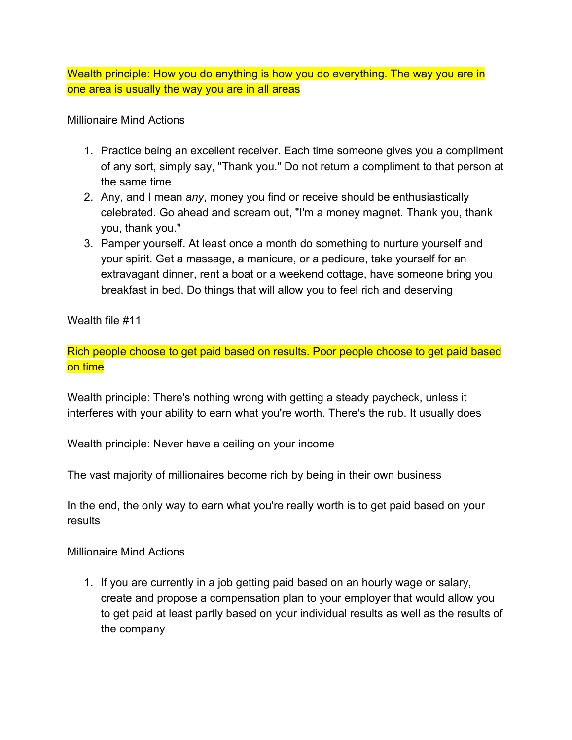Wealth principle: How you do anything is how you do everything. The way you are in one area is usually the way you are in all areas

Millionaire Mind Actions

- 1. Practice being an excellent receiver. Each time someone gives you a compliment of any sort, simply say, "Thank you." Do not return a compliment to that person at the same time
- 2. Any, and I mean *any*, money you find or receive should be enthusiastically celebrated. Go ahead and scream out, "I'm a money magnet. Thank you, thank you, thank you."
- 3. Pamper yourself. At least once a month do something to nurture yourself and your spirit. Get a massage, a manicure, or a pedicure, take yourself for an extravagant dinner, rent a boat or a weekend cottage, have someone bring you breakfast in bed. Do things that will allow you to feel rich and deserving

Wealth file #11

Rich people choose to get paid based on results. Poor people choose to get paid based on time

Wealth principle: There's nothing wrong with getting a steady paycheck, unless it interferes with your ability to earn what you're worth. There's the rub. It usually does

Wealth principle: Never have a ceiling on your income

The vast majority of millionaires become rich by being in their own business

In the end, the only way to earn what you're really worth is to get paid based on your results

Millionaire Mind Actions

1. If you are currently in a job getting paid based on an hourly wage or salary, create and propose a compensation plan to your employer that would allow you to get paid at least partly based on your individual results as well as the results of the company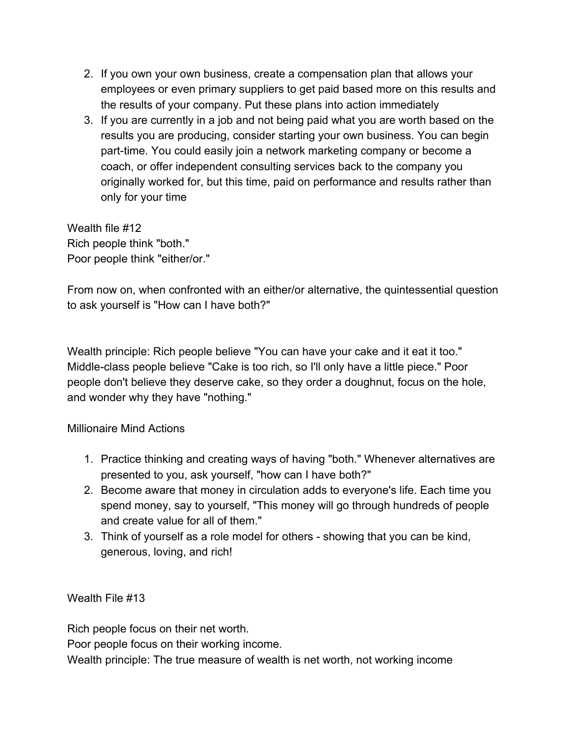- 2. If you own your own business, create a compensation plan that allows your employees or even primary suppliers to get paid based more on this results and the results of your company. Put these plans into action immediately
- 3. If you are currently in a job and not being paid what you are worth based on the results you are producing, consider starting your own business. You can begin part-time. You could easily join a network marketing company or become a coach, or offer independent consulting services back to the company you originally worked for, but this time, paid on performance and results rather than only for your time

Wealth file #12 Rich people think "both." Poor people think "either/or."

From now on, when confronted with an either/or alternative, the quintessential question to ask yourself is "How can I have both?"

Wealth principle: Rich people believe "You can have your cake and it eat it too." Middle-class people believe "Cake is too rich, so I'll only have a little piece." Poor people don't believe they deserve cake, so they order a doughnut, focus on the hole, and wonder why they have "nothing."

# Millionaire Mind Actions

- 1. Practice thinking and creating ways of having "both." Whenever alternatives are presented to you, ask yourself, "how can I have both?"
- 2. Become aware that money in circulation adds to everyone's life. Each time you spend money, say to yourself, "This money will go through hundreds of people and create value for all of them."
- 3. Think of yourself as a role model for others showing that you can be kind, generous, loving, and rich!

Wealth File #13

Rich people focus on their net worth.

Poor people focus on their working income.

Wealth principle: The true measure of wealth is net worth, not working income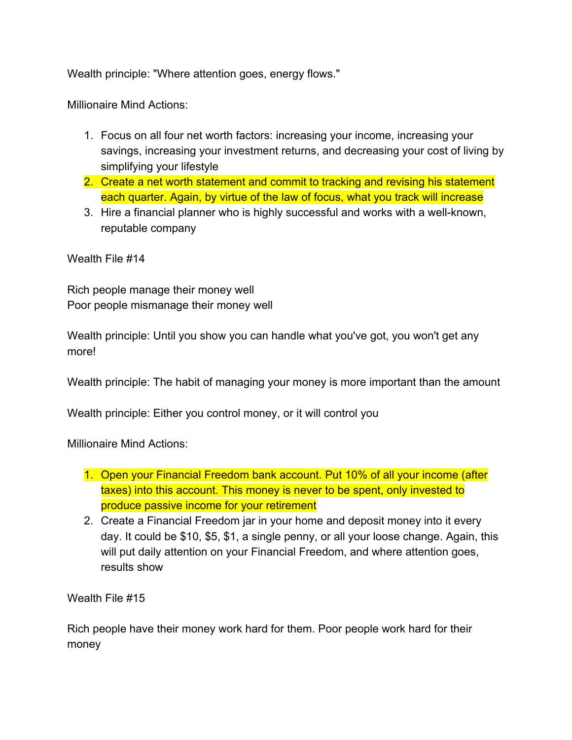Wealth principle: "Where attention goes, energy flows."

Millionaire Mind Actions:

- 1. Focus on all four net worth factors: increasing your income, increasing your savings, increasing your investment returns, and decreasing your cost of living by simplifying your lifestyle
- 2. Create a net worth statement and commit to tracking and revising his statement each quarter. Again, by virtue of the law of focus, what you track will increase
- 3. Hire a financial planner who is highly successful and works with a well-known, reputable company

Wealth File #14

Rich people manage their money well Poor people mismanage their money well

Wealth principle: Until you show you can handle what you've got, you won't get any more!

Wealth principle: The habit of managing your money is more important than the amount

Wealth principle: Either you control money, or it will control you

Millionaire Mind Actions:

- 1. Open your Financial Freedom bank account. Put 10% of all your income (after taxes) into this account. This money is never to be spent, only invested to produce passive income for your retirement
- 2. Create a Financial Freedom jar in your home and deposit money into it every day. It could be \$10, \$5, \$1, a single penny, or all your loose change. Again, this will put daily attention on your Financial Freedom, and where attention goes, results show

Wealth File #15

Rich people have their money work hard for them. Poor people work hard for their money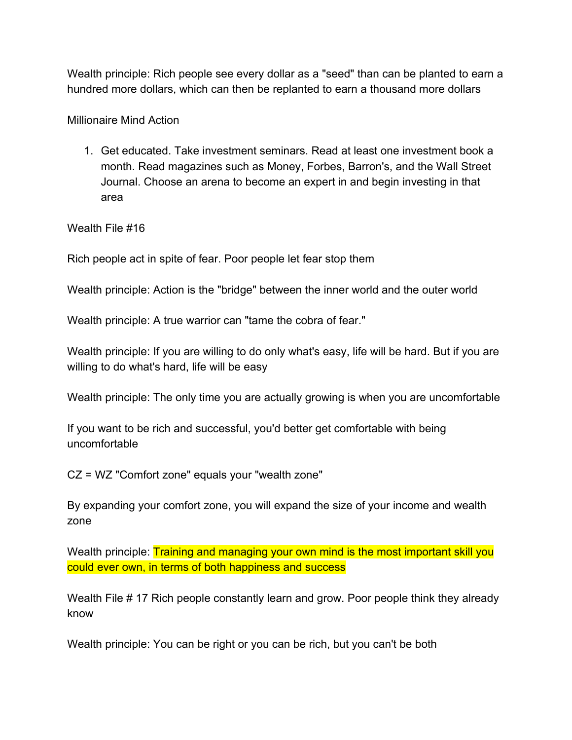Wealth principle: Rich people see every dollar as a "seed" than can be planted to earn a hundred more dollars, which can then be replanted to earn a thousand more dollars

Millionaire Mind Action

1. Get educated. Take investment seminars. Read at least one investment book a month. Read magazines such as Money, Forbes, Barron's, and the Wall Street Journal. Choose an arena to become an expert in and begin investing in that area

Wealth File #16

Rich people act in spite of fear. Poor people let fear stop them

Wealth principle: Action is the "bridge" between the inner world and the outer world

Wealth principle: A true warrior can "tame the cobra of fear."

Wealth principle: If you are willing to do only what's easy, life will be hard. But if you are willing to do what's hard, life will be easy

Wealth principle: The only time you are actually growing is when you are uncomfortable

If you want to be rich and successful, you'd better get comfortable with being uncomfortable

CZ = WZ "Comfort zone" equals your "wealth zone"

By expanding your comfort zone, you will expand the size of your income and wealth zone

Wealth principle: Training and managing your own mind is the most important skill you could ever own, in terms of both happiness and success

Wealth File # 17 Rich people constantly learn and grow. Poor people think they already know

Wealth principle: You can be right or you can be rich, but you can't be both